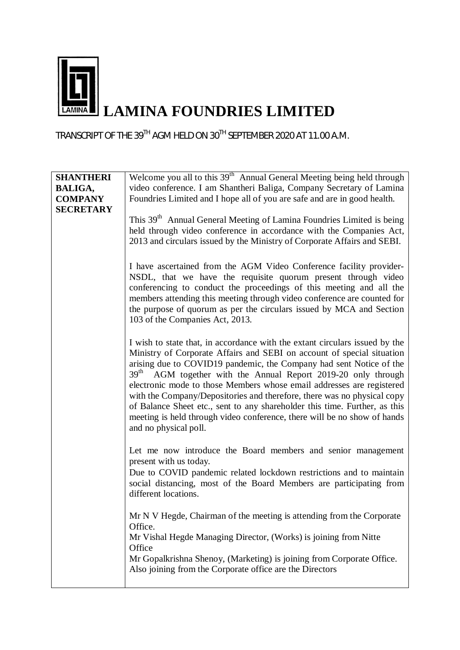

TRANSCRIPT OF THE 39TH AGM HELD ON 30TH SEPTEMBER 2020 AT 11.00 A.M.

| <b>SHANTHERI</b> | Welcome you all to this 39 <sup>th</sup> Annual General Meeting being held through                                                                                                                                                                                                                                                                                                                                                                                                                                                                                                                                                               |
|------------------|--------------------------------------------------------------------------------------------------------------------------------------------------------------------------------------------------------------------------------------------------------------------------------------------------------------------------------------------------------------------------------------------------------------------------------------------------------------------------------------------------------------------------------------------------------------------------------------------------------------------------------------------------|
| <b>BALIGA,</b>   | video conference. I am Shantheri Baliga, Company Secretary of Lamina                                                                                                                                                                                                                                                                                                                                                                                                                                                                                                                                                                             |
| <b>COMPANY</b>   | Foundries Limited and I hope all of you are safe and are in good health.                                                                                                                                                                                                                                                                                                                                                                                                                                                                                                                                                                         |
| <b>SECRETARY</b> | This 39 <sup>th</sup> Annual General Meeting of Lamina Foundries Limited is being<br>held through video conference in accordance with the Companies Act,<br>2013 and circulars issued by the Ministry of Corporate Affairs and SEBI.                                                                                                                                                                                                                                                                                                                                                                                                             |
|                  | I have ascertained from the AGM Video Conference facility provider-<br>NSDL, that we have the requisite quorum present through video<br>conferencing to conduct the proceedings of this meeting and all the<br>members attending this meeting through video conference are counted for<br>the purpose of quorum as per the circulars issued by MCA and Section<br>103 of the Companies Act, 2013.                                                                                                                                                                                                                                                |
|                  | I wish to state that, in accordance with the extant circulars issued by the<br>Ministry of Corporate Affairs and SEBI on account of special situation<br>arising due to COVID19 pandemic, the Company had sent Notice of the<br>39 <sup>th</sup> AGM together with the Annual Report 2019-20 only through<br>electronic mode to those Members whose email addresses are registered<br>with the Company/Depositories and therefore, there was no physical copy<br>of Balance Sheet etc., sent to any shareholder this time. Further, as this<br>meeting is held through video conference, there will be no show of hands<br>and no physical poll. |
|                  | Let me now introduce the Board members and senior management<br>present with us today.<br>Due to COVID pandemic related lockdown restrictions and to maintain<br>social distancing, most of the Board Members are participating from<br>different locations.                                                                                                                                                                                                                                                                                                                                                                                     |
|                  | Mr N V Hegde, Chairman of the meeting is attending from the Corporate<br>Office.<br>Mr Vishal Hegde Managing Director, (Works) is joining from Nitte<br>Office<br>Mr Gopalkrishna Shenoy, (Marketing) is joining from Corporate Office.<br>Also joining from the Corporate office are the Directors                                                                                                                                                                                                                                                                                                                                              |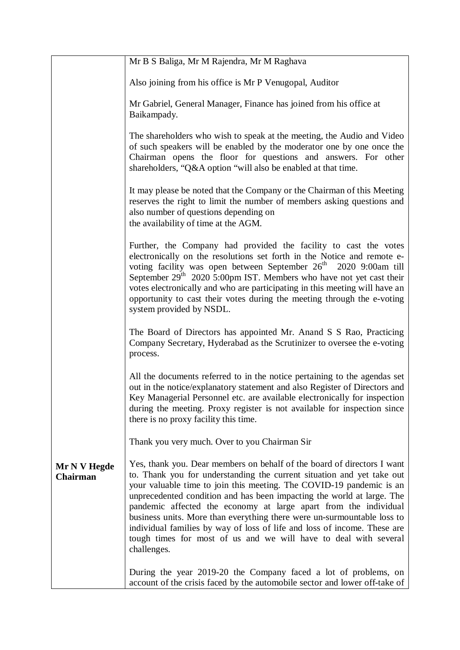|                                 | Mr B S Baliga, Mr M Rajendra, Mr M Raghava                                                                                                                                                                                                                                                                                                                                                                                                                                                                                                                                                                        |
|---------------------------------|-------------------------------------------------------------------------------------------------------------------------------------------------------------------------------------------------------------------------------------------------------------------------------------------------------------------------------------------------------------------------------------------------------------------------------------------------------------------------------------------------------------------------------------------------------------------------------------------------------------------|
|                                 | Also joining from his office is Mr P Venugopal, Auditor                                                                                                                                                                                                                                                                                                                                                                                                                                                                                                                                                           |
|                                 | Mr Gabriel, General Manager, Finance has joined from his office at<br>Baikampady.                                                                                                                                                                                                                                                                                                                                                                                                                                                                                                                                 |
|                                 | The shareholders who wish to speak at the meeting, the Audio and Video<br>of such speakers will be enabled by the moderator one by one once the<br>Chairman opens the floor for questions and answers. For other<br>shareholders, "Q&A option "will also be enabled at that time.                                                                                                                                                                                                                                                                                                                                 |
|                                 | It may please be noted that the Company or the Chairman of this Meeting<br>reserves the right to limit the number of members asking questions and<br>also number of questions depending on<br>the availability of time at the AGM.                                                                                                                                                                                                                                                                                                                                                                                |
|                                 | Further, the Company had provided the facility to cast the votes<br>electronically on the resolutions set forth in the Notice and remote e-<br>voting facility was open between September 26 <sup>th</sup> 2020 9:00am till<br>September 29 <sup>th</sup> 2020 5:00pm IST. Members who have not yet cast their<br>votes electronically and who are participating in this meeting will have an<br>opportunity to cast their votes during the meeting through the e-voting<br>system provided by NSDL.                                                                                                              |
|                                 | The Board of Directors has appointed Mr. Anand S S Rao, Practicing<br>Company Secretary, Hyderabad as the Scrutinizer to oversee the e-voting<br>process.                                                                                                                                                                                                                                                                                                                                                                                                                                                         |
|                                 | All the documents referred to in the notice pertaining to the agendas set<br>out in the notice/explanatory statement and also Register of Directors and<br>Key Managerial Personnel etc. are available electronically for inspection<br>during the meeting. Proxy register is not available for inspection since<br>there is no proxy facility this time.                                                                                                                                                                                                                                                         |
|                                 | Thank you very much. Over to you Chairman Sir                                                                                                                                                                                                                                                                                                                                                                                                                                                                                                                                                                     |
| Mr N V Hegde<br><b>Chairman</b> | Yes, thank you. Dear members on behalf of the board of directors I want<br>to. Thank you for understanding the current situation and yet take out<br>your valuable time to join this meeting. The COVID-19 pandemic is an<br>unprecedented condition and has been impacting the world at large. The<br>pandemic affected the economy at large apart from the individual<br>business units. More than everything there were un-surmountable loss to<br>individual families by way of loss of life and loss of income. These are<br>tough times for most of us and we will have to deal with several<br>challenges. |
|                                 | During the year 2019-20 the Company faced a lot of problems, on<br>account of the crisis faced by the automobile sector and lower off-take of                                                                                                                                                                                                                                                                                                                                                                                                                                                                     |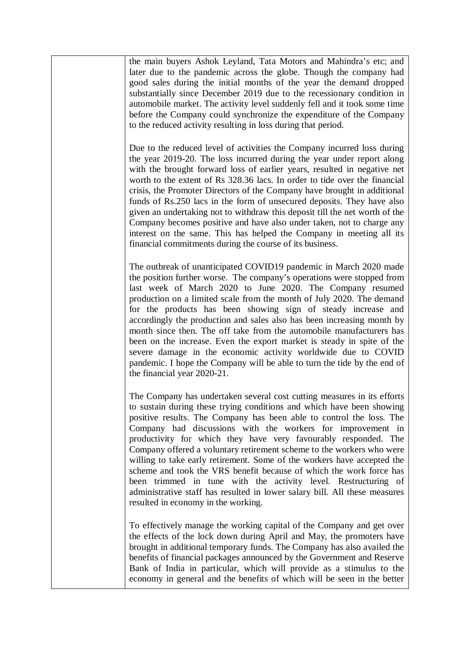the main buyers Ashok Leyland, Tata Motors and Mahindra's etc; an[d](http://www.tracker-software.com/buy-now) later due to the pandemic across the globe. Though the company had good sales during the initial months of the year the demand dropped substantially since December 2019 due to the recessionary condition in automobile market. The activity level suddenly fell and it took some time before the Company could synchronize the expenditure of the Company to the reduced activity resulting in loss during that period. Due to the reduced level of activities the Company incurred loss during the year 2019-20. The loss incurred during the year under report along with the brought forward loss of earlier years, resulted in negative net worth to the extent of Rs 328.36 lacs. In order to tide over the financial crisis, the Promoter Directors of the Company have brought in additional funds of Rs.250 lacs in the form of unsecured deposits. They have also given an undertaking not to withdraw this deposit till the net worth of the Company becomes positive and have also under taken, not to charge any interest on the same. This has helped the Company in meeting all its financial commitments during the course of its business. The outbreak of unanticipated COVID19 pandemic in March 2020 made the position further worse. The company's operations were stopped from last week of March 2020 to June 2020. The Company resumed production on a limited scale from the month of July 2020. The demand for the products has been showing sign of steady increase and accordingly the production and sales also has been increasing month by month since then. The off take from the automobile manufacturers has been on the increase. Even the export market is steady in spite of the severe damage in the economic activity worldwide due to COVID pandemic. I hope the Company will be able to turn the tide by the end of the financial year 2020-21. The Company has undertaken several cost cutting measures in its efforts to sustain during these trying conditions and which have been showing positive results. The Company has been able to control the loss. The Company had discussions with the workers for improvement in productivity for which they have very favourably responded. The Company offered a voluntary retirement scheme to the workers who were willing to take early retirement. Some of the workers have accepted the scheme and took the VRS benefit because of which the work force has been trimmed in tune with the activity level. Restructuring of administrative staff has resulted in lower salary bill. All these measures resulted in economy in the working. To effectively manage the working capital of the Company and get over the effects of the lock down during April and May, the promoters have brought in additional temporary funds. The Company has also availed the benefits of financial packages announced by the Government and Reserve Bank of India in particular, which will provide as a stimulus to the economy in general and the benefits of which will be seen in the better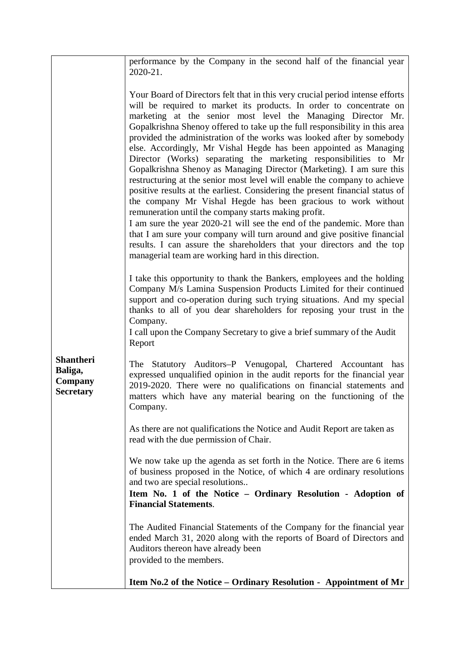|                                                            | performance by the Company in the second half of the financial year<br>2020-21.                                                                                                                                                                                                                                                                                                                                                                                                                                                                                                                                                                                                                                                                                                                                                                                                                                                                                                                                                                                                                                                                                             |
|------------------------------------------------------------|-----------------------------------------------------------------------------------------------------------------------------------------------------------------------------------------------------------------------------------------------------------------------------------------------------------------------------------------------------------------------------------------------------------------------------------------------------------------------------------------------------------------------------------------------------------------------------------------------------------------------------------------------------------------------------------------------------------------------------------------------------------------------------------------------------------------------------------------------------------------------------------------------------------------------------------------------------------------------------------------------------------------------------------------------------------------------------------------------------------------------------------------------------------------------------|
|                                                            | Your Board of Directors felt that in this very crucial period intense efforts<br>will be required to market its products. In order to concentrate on<br>marketing at the senior most level the Managing Director Mr.<br>Gopalkrishna Shenoy offered to take up the full responsibility in this area<br>provided the administration of the works was looked after by somebody<br>else. Accordingly, Mr Vishal Hegde has been appointed as Managing<br>Director (Works) separating the marketing responsibilities to Mr<br>Gopalkrishna Shenoy as Managing Director (Marketing). I am sure this<br>restructuring at the senior most level will enable the company to achieve<br>positive results at the earliest. Considering the present financial status of<br>the company Mr Vishal Hegde has been gracious to work without<br>remuneration until the company starts making profit.<br>I am sure the year 2020-21 will see the end of the pandemic. More than<br>that I am sure your company will turn around and give positive financial<br>results. I can assure the shareholders that your directors and the top<br>managerial team are working hard in this direction. |
|                                                            | I take this opportunity to thank the Bankers, employees and the holding<br>Company M/s Lamina Suspension Products Limited for their continued<br>support and co-operation during such trying situations. And my special<br>thanks to all of you dear shareholders for reposing your trust in the<br>Company.<br>I call upon the Company Secretary to give a brief summary of the Audit<br>Report                                                                                                                                                                                                                                                                                                                                                                                                                                                                                                                                                                                                                                                                                                                                                                            |
| <b>Shantheri</b><br>Baliga,<br>Company<br><b>Secretary</b> | The Statutory Auditors-P Venugopal, Chartered Accountant has<br>expressed unqualified opinion in the audit reports for the financial year<br>2019-2020. There were no qualifications on financial statements and<br>matters which have any material bearing on the functioning of the<br>Company.                                                                                                                                                                                                                                                                                                                                                                                                                                                                                                                                                                                                                                                                                                                                                                                                                                                                           |
|                                                            | As there are not qualifications the Notice and Audit Report are taken as<br>read with the due permission of Chair.                                                                                                                                                                                                                                                                                                                                                                                                                                                                                                                                                                                                                                                                                                                                                                                                                                                                                                                                                                                                                                                          |
|                                                            | We now take up the agenda as set forth in the Notice. There are 6 items<br>of business proposed in the Notice, of which 4 are ordinary resolutions<br>and two are special resolutions<br>Item No. 1 of the Notice - Ordinary Resolution - Adoption of<br><b>Financial Statements.</b>                                                                                                                                                                                                                                                                                                                                                                                                                                                                                                                                                                                                                                                                                                                                                                                                                                                                                       |
|                                                            | The Audited Financial Statements of the Company for the financial year<br>ended March 31, 2020 along with the reports of Board of Directors and<br>Auditors thereon have already been<br>provided to the members.                                                                                                                                                                                                                                                                                                                                                                                                                                                                                                                                                                                                                                                                                                                                                                                                                                                                                                                                                           |
|                                                            | Item No.2 of the Notice – Ordinary Resolution - Appointment of Mr                                                                                                                                                                                                                                                                                                                                                                                                                                                                                                                                                                                                                                                                                                                                                                                                                                                                                                                                                                                                                                                                                                           |